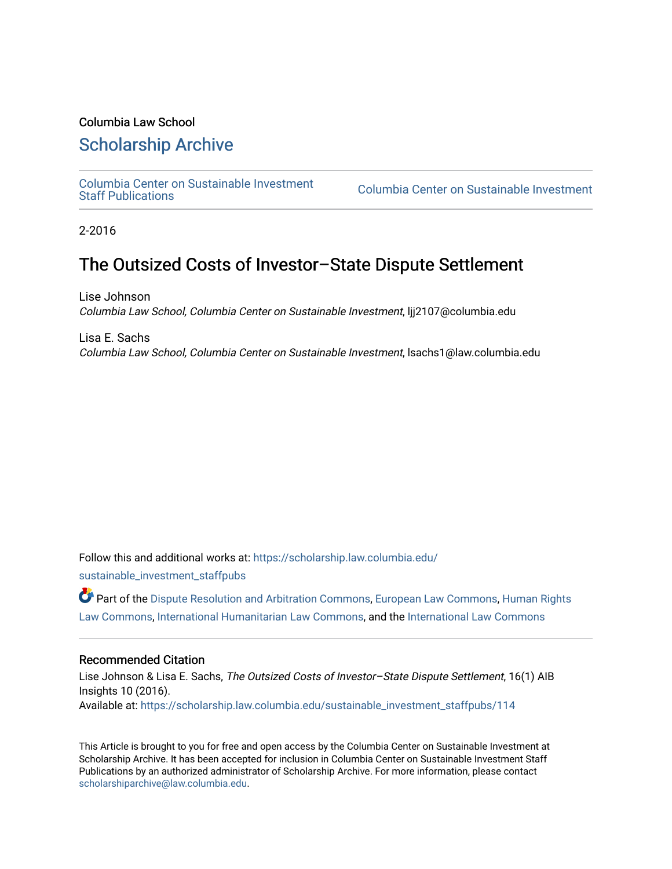### Columbia Law School

### [Scholarship Archive](https://scholarship.law.columbia.edu/)

[Columbia Center on Sustainable Investment](https://scholarship.law.columbia.edu/sustainable_investment_staffpubs) 

Columbia Center on Sustainable Investment

2-2016

# The Outsized Costs of Investor–State Dispute Settlement

Lise Johnson Columbia Law School, Columbia Center on Sustainable Investment, ljj2107@columbia.edu

Lisa E. Sachs Columbia Law School, Columbia Center on Sustainable Investment, lsachs1@law.columbia.edu

Follow this and additional works at: [https://scholarship.law.columbia.edu/](https://scholarship.law.columbia.edu/sustainable_investment_staffpubs?utm_source=scholarship.law.columbia.edu%2Fsustainable_investment_staffpubs%2F114&utm_medium=PDF&utm_campaign=PDFCoverPages)

[sustainable\\_investment\\_staffpubs](https://scholarship.law.columbia.edu/sustainable_investment_staffpubs?utm_source=scholarship.law.columbia.edu%2Fsustainable_investment_staffpubs%2F114&utm_medium=PDF&utm_campaign=PDFCoverPages)

Part of the [Dispute Resolution and Arbitration Commons,](http://network.bepress.com/hgg/discipline/890?utm_source=scholarship.law.columbia.edu%2Fsustainable_investment_staffpubs%2F114&utm_medium=PDF&utm_campaign=PDFCoverPages) [European Law Commons](http://network.bepress.com/hgg/discipline/1084?utm_source=scholarship.law.columbia.edu%2Fsustainable_investment_staffpubs%2F114&utm_medium=PDF&utm_campaign=PDFCoverPages), [Human Rights](http://network.bepress.com/hgg/discipline/847?utm_source=scholarship.law.columbia.edu%2Fsustainable_investment_staffpubs%2F114&utm_medium=PDF&utm_campaign=PDFCoverPages)  [Law Commons,](http://network.bepress.com/hgg/discipline/847?utm_source=scholarship.law.columbia.edu%2Fsustainable_investment_staffpubs%2F114&utm_medium=PDF&utm_campaign=PDFCoverPages) [International Humanitarian Law Commons](http://network.bepress.com/hgg/discipline/1330?utm_source=scholarship.law.columbia.edu%2Fsustainable_investment_staffpubs%2F114&utm_medium=PDF&utm_campaign=PDFCoverPages), and the [International Law Commons](http://network.bepress.com/hgg/discipline/609?utm_source=scholarship.law.columbia.edu%2Fsustainable_investment_staffpubs%2F114&utm_medium=PDF&utm_campaign=PDFCoverPages) 

### Recommended Citation

Lise Johnson & Lisa E. Sachs, The Outsized Costs of Investor–State Dispute Settlement, 16(1) AIB Insights 10 (2016). Available at: [https://scholarship.law.columbia.edu/sustainable\\_investment\\_staffpubs/114](https://scholarship.law.columbia.edu/sustainable_investment_staffpubs/114?utm_source=scholarship.law.columbia.edu%2Fsustainable_investment_staffpubs%2F114&utm_medium=PDF&utm_campaign=PDFCoverPages) 

This Article is brought to you for free and open access by the Columbia Center on Sustainable Investment at Scholarship Archive. It has been accepted for inclusion in Columbia Center on Sustainable Investment Staff Publications by an authorized administrator of Scholarship Archive. For more information, please contact [scholarshiparchive@law.columbia.edu](mailto:scholarshiparchive@law.columbia.edu).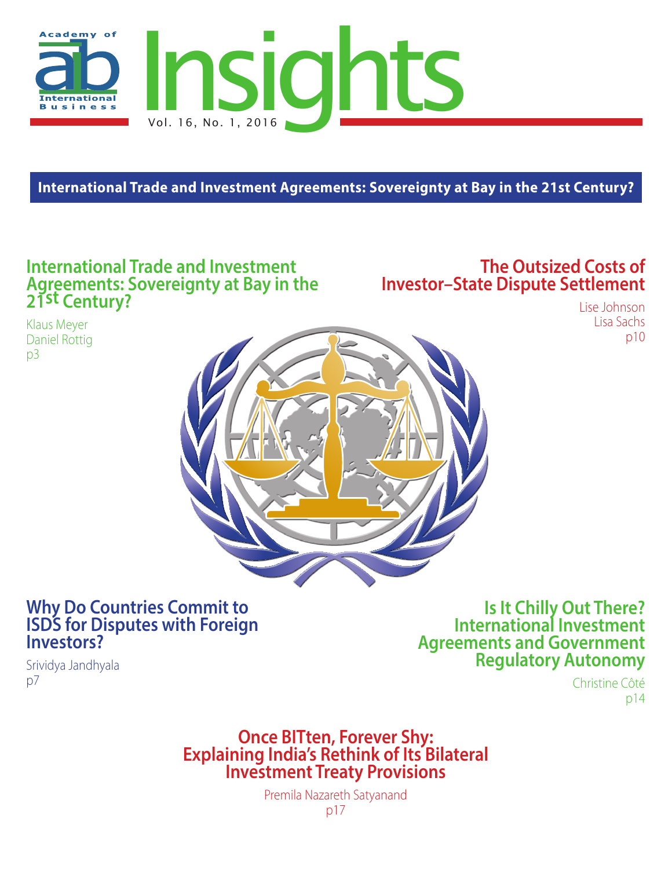

**International Trade and Investment Agreements: Sovereignty at Bay in the 21st Century?**

# **International Trade and Investment Agreements: Sovereignty at Bay in the 21st Century?**

# **The Outsized Costs of Investor–State Dispute Settlement**

Klaus Meyer Daniel Rottig p3

Srividya Jandhyala

 $D<sub>7</sub>$ 

Lise Johnson Lisa Sachs p10



# **Why Do Countries Commit to ISDS for Disputes with Foreign Investors?**

**Is It Chilly Out There? International Investment Agreements and Government Regulatory Autonomy**

> Christine Côté p14

# **Once BITten, Forever Shy:<br>Explaining India's Rethink of Its Bilateral<br>Investment Treaty Provisions**

Premila Nazareth Satyanand p17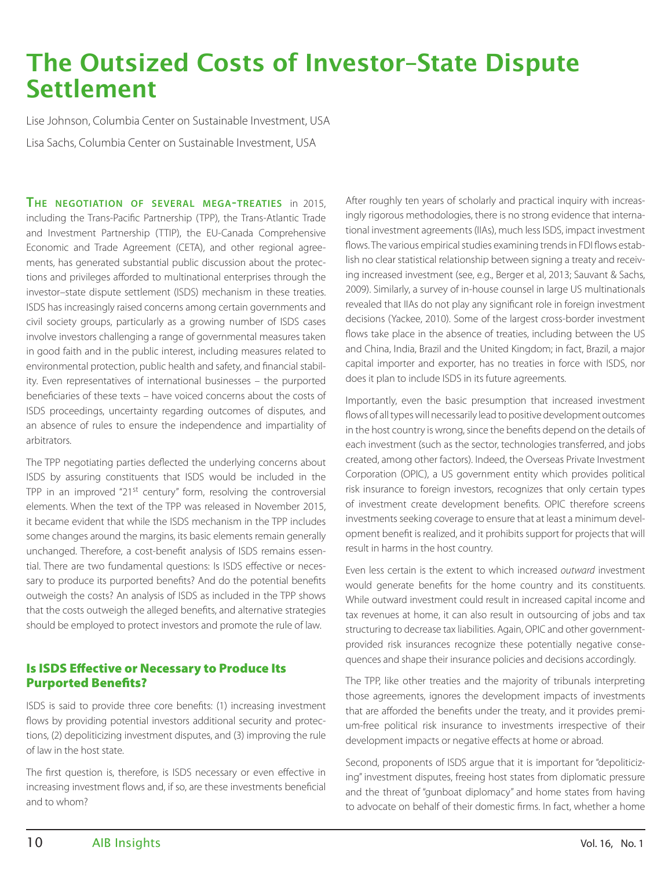# The Outsized Costs of Investor–State Dispute Settlement

Lise Johnson, Columbia Center on Sustainable Investment, USA Lisa Sachs, Columbia Center on Sustainable Investment, USA

**The negotiation of several mega-treaties** in 2015, including the Trans-Pacific Partnership (TPP), the Trans-Atlantic Trade and Investment Partnership (TTIP), the EU-Canada Comprehensive Economic and Trade Agreement (CETA), and other regional agreements, has generated substantial public discussion about the protections and privileges afforded to multinational enterprises through the investor–state dispute settlement (ISDS) mechanism in these treaties. ISDS has increasingly raised concerns among certain governments and civil society groups, particularly as a growing number of ISDS cases involve investors challenging a range of governmental measures taken in good faith and in the public interest, including measures related to environmental protection, public health and safety, and financial stability. Even representatives of international businesses – the purported beneficiaries of these texts – have voiced concerns about the costs of ISDS proceedings, uncertainty regarding outcomes of disputes, and an absence of rules to ensure the independence and impartiality of arbitrators.

The TPP negotiating parties deflected the underlying concerns about ISDS by assuring constituents that ISDS would be included in the TPP in an improved "21st century" form, resolving the controversial elements. When the text of the TPP was released in November 2015, it became evident that while the ISDS mechanism in the TPP includes some changes around the margins, its basic elements remain generally unchanged. Therefore, a cost-benefit analysis of ISDS remains essential. There are two fundamental questions: Is ISDS effective or necessary to produce its purported benefits? And do the potential benefits outweigh the costs? An analysis of ISDS as included in the TPP shows that the costs outweigh the alleged benefits, and alternative strategies should be employed to protect investors and promote the rule of law.

### Is ISDS Effective or Necessary to Produce Its Purported Benefits?

ISDS is said to provide three core benefits: (1) increasing investment flows by providing potential investors additional security and protections, (2) depoliticizing investment disputes, and (3) improving the rule of law in the host state.

The first question is, therefore, is ISDS necessary or even effective in increasing investment flows and, if so, are these investments beneficial and to whom?

After roughly ten years of scholarly and practical inquiry with increasingly rigorous methodologies, there is no strong evidence that international investment agreements (IIAs), much less ISDS, impact investment flows. The various empirical studies examining trends in FDI flows establish no clear statistical relationship between signing a treaty and receiving increased investment (see, e.g., Berger et al, 2013; Sauvant & Sachs, 2009). Similarly, a survey of in-house counsel in large US multinationals revealed that IIAs do not play any significant role in foreign investment decisions (Yackee, 2010). Some of the largest cross-border investment flows take place in the absence of treaties, including between the US and China, India, Brazil and the United Kingdom; in fact, Brazil, a major capital importer and exporter, has no treaties in force with ISDS, nor does it plan to include ISDS in its future agreements.

Importantly, even the basic presumption that increased investment flows of all types will necessarily lead to positive development outcomes in the host country is wrong, since the benefits depend on the details of each investment (such as the sector, technologies transferred, and jobs created, among other factors). Indeed, the Overseas Private Investment Corporation (OPIC), a US government entity which provides political risk insurance to foreign investors, recognizes that only certain types of investment create development benefits. OPIC therefore screens investments seeking coverage to ensure that at least a minimum development benefit is realized, and it prohibits support for projects that will result in harms in the host country.

Even less certain is the extent to which increased *outward* investment would generate benefits for the home country and its constituents. While outward investment could result in increased capital income and tax revenues at home, it can also result in outsourcing of jobs and tax structuring to decrease tax liabilities. Again, OPIC and other governmentprovided risk insurances recognize these potentially negative consequences and shape their insurance policies and decisions accordingly.

The TPP, like other treaties and the majority of tribunals interpreting those agreements, ignores the development impacts of investments that are afforded the benefits under the treaty, and it provides premium-free political risk insurance to investments irrespective of their development impacts or negative effects at home or abroad.

Second, proponents of ISDS argue that it is important for "depoliticizing" investment disputes, freeing host states from diplomatic pressure and the threat of "gunboat diplomacy" and home states from having to advocate on behalf of their domestic firms. In fact, whether a home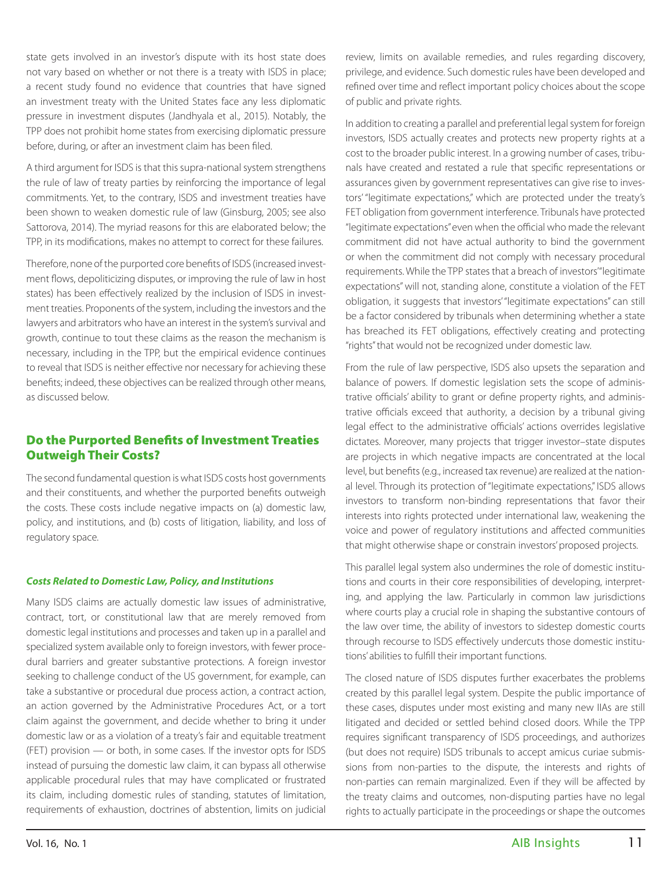state gets involved in an investor's dispute with its host state does not vary based on whether or not there is a treaty with ISDS in place; a recent study found no evidence that countries that have signed an investment treaty with the United States face any less diplomatic pressure in investment disputes (Jandhyala et al., 2015). Notably, the TPP does not prohibit home states from exercising diplomatic pressure before, during, or after an investment claim has been filed.

A third argument for ISDS is that this supra-national system strengthens the rule of law of treaty parties by reinforcing the importance of legal commitments. Yet, to the contrary, ISDS and investment treaties have been shown to weaken domestic rule of law (Ginsburg, 2005; see also Sattorova, 2014). The myriad reasons for this are elaborated below; the TPP, in its modifications, makes no attempt to correct for these failures.

Therefore, none of the purported core benefits of ISDS (increased investment flows, depoliticizing disputes, or improving the rule of law in host states) has been effectively realized by the inclusion of ISDS in investment treaties. Proponents of the system, including the investors and the lawyers and arbitrators who have an interest in the system's survival and growth, continue to tout these claims as the reason the mechanism is necessary, including in the TPP, but the empirical evidence continues to reveal that ISDS is neither effective nor necessary for achieving these benefits; indeed, these objectives can be realized through other means, as discussed below.

### Do the Purported Benefits of Investment Treaties Outweigh Their Costs?

The second fundamental question is what ISDS costs host governments and their constituents, and whether the purported benefits outweigh the costs. These costs include negative impacts on (a) domestic law, policy, and institutions, and (b) costs of litigation, liability, and loss of regulatory space.

#### *Costs Related to Domestic Law, Policy, and Institutions*

Many ISDS claims are actually domestic law issues of administrative, contract, tort, or constitutional law that are merely removed from domestic legal institutions and processes and taken up in a parallel and specialized system available only to foreign investors, with fewer procedural barriers and greater substantive protections. A foreign investor seeking to challenge conduct of the US government, for example, can take a substantive or procedural due process action, a contract action, an action governed by the Administrative Procedures Act, or a tort claim against the government, and decide whether to bring it under domestic law or as a violation of a treaty's fair and equitable treatment (FET) provision — or both, in some cases. If the investor opts for ISDS instead of pursuing the domestic law claim, it can bypass all otherwise applicable procedural rules that may have complicated or frustrated its claim, including domestic rules of standing, statutes of limitation, requirements of exhaustion, doctrines of abstention, limits on judicial

review, limits on available remedies, and rules regarding discovery, privilege, and evidence. Such domestic rules have been developed and refined over time and reflect important policy choices about the scope of public and private rights.

In addition to creating a parallel and preferential legal system for foreign investors, ISDS actually creates and protects new property rights at a cost to the broader public interest. In a growing number of cases, tribunals have created and restated a rule that specific representations or assurances given by government representatives can give rise to investors' "legitimate expectations," which are protected under the treaty's FET obligation from government interference. Tribunals have protected "legitimate expectations" even when the official who made the relevant commitment did not have actual authority to bind the government or when the commitment did not comply with necessary procedural requirements. While the TPP states that a breach of investors "legitimate expectations" will not, standing alone, constitute a violation of the FET obligation, it suggests that investors' "legitimate expectations" can still be a factor considered by tribunals when determining whether a state has breached its FET obligations, effectively creating and protecting "rights" that would not be recognized under domestic law.

From the rule of law perspective, ISDS also upsets the separation and balance of powers. If domestic legislation sets the scope of administrative officials' ability to grant or define property rights, and administrative officials exceed that authority, a decision by a tribunal giving legal effect to the administrative officials' actions overrides legislative dictates. Moreover, many projects that trigger investor–state disputes are projects in which negative impacts are concentrated at the local level, but benefits (e.g., increased tax revenue) are realized at the national level. Through its protection of "legitimate expectations," ISDS allows investors to transform non-binding representations that favor their interests into rights protected under international law, weakening the voice and power of regulatory institutions and affected communities that might otherwise shape or constrain investors' proposed projects.

This parallel legal system also undermines the role of domestic institutions and courts in their core responsibilities of developing, interpreting, and applying the law. Particularly in common law jurisdictions where courts play a crucial role in shaping the substantive contours of the law over time, the ability of investors to sidestep domestic courts through recourse to ISDS effectively undercuts those domestic institutions' abilities to fulfill their important functions.

The closed nature of ISDS disputes further exacerbates the problems created by this parallel legal system. Despite the public importance of these cases, disputes under most existing and many new IIAs are still litigated and decided or settled behind closed doors. While the TPP requires significant transparency of ISDS proceedings, and authorizes (but does not require) ISDS tribunals to accept amicus curiae submissions from non-parties to the dispute, the interests and rights of non-parties can remain marginalized. Even if they will be affected by the treaty claims and outcomes, non-disputing parties have no legal rights to actually participate in the proceedings or shape the outcomes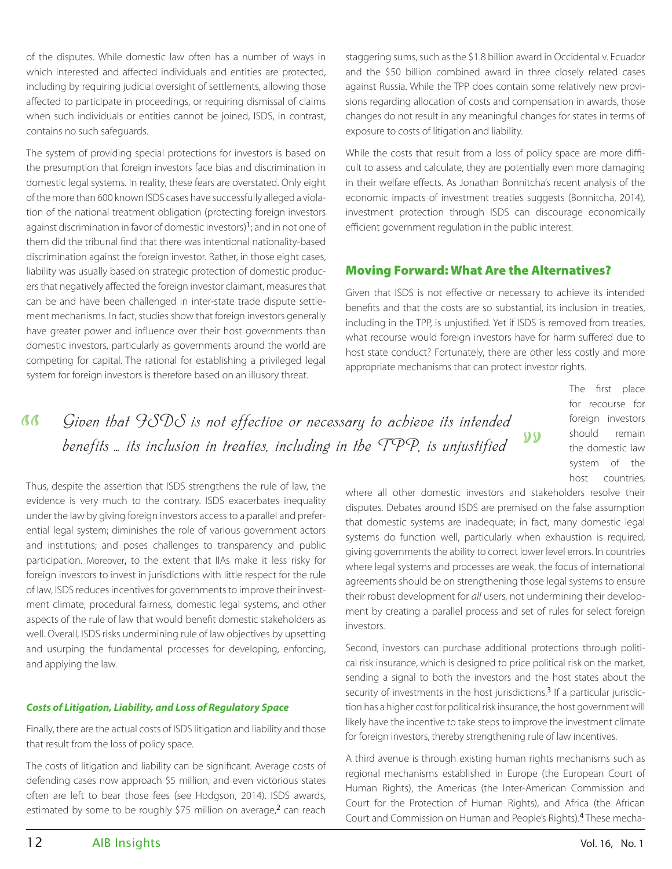of the disputes. While domestic law often has a number of ways in which interested and affected individuals and entities are protected, including by requiring judicial oversight of settlements, allowing those affected to participate in proceedings, or requiring dismissal of claims when such individuals or entities cannot be joined, ISDS, in contrast, contains no such safeguards.

The system of providing special protections for investors is based on the presumption that foreign investors face bias and discrimination in domestic legal systems. In reality, these fears are overstated. Only eight of the more than 600 known ISDS cases have successfully alleged a violation of the national treatment obligation (protecting foreign investors against discrimination in favor of domestic investors)<sup>1</sup>; and in not one of them did the tribunal find that there was intentional nationality-based discrimination against the foreign investor. Rather, in those eight cases, liability was usually based on strategic protection of domestic producers that negatively affected the foreign investor claimant, measures that can be and have been challenged in inter-state trade dispute settlement mechanisms. In fact, studies show that foreign investors generally have greater power and influence over their host governments than domestic investors, particularly as governments around the world are competing for capital. The rational for establishing a privileged legal system for foreign investors is therefore based on an illusory threat.

staggering sums, such as the \$1.8 billion award in Occidental v. Ecuador and the \$50 billion combined award in three closely related cases against Russia. While the TPP does contain some relatively new provisions regarding allocation of costs and compensation in awards, those changes do not result in any meaningful changes for states in terms of exposure to costs of litigation and liability.

While the costs that result from a loss of policy space are more difficult to assess and calculate, they are potentially even more damaging in their welfare effects. As Jonathan Bonnitcha's recent analysis of the economic impacts of investment treaties suggests (Bonnitcha, 2014), investment protection through ISDS can discourage economically efficient government regulation in the public interest.

### Moving Forward: What Are the Alternatives?

Given that ISDS is not effective or necessary to achieve its intended benefits and that the costs are so substantial, its inclusion in treaties, including in the TPP, is unjustified. Yet if ISDS is removed from treaties, what recourse would foreign investors have for harm suffered due to host state conduct? Fortunately, there are other less costly and more appropriate mechanisms that can protect investor rights.

> The first place for recourse for foreign investors should remain the domestic law system of the host countries,

**ß** Given that HSDS is not effective or necessary to achieve its intended benefits  $\ldots$  its inclusion in treaties, including in the TPP, is unjustified  $99$ 

Thus, despite the assertion that ISDS strengthens the rule of law, the evidence is very much to the contrary. ISDS exacerbates inequality under the law by giving foreign investors access to a parallel and preferential legal system; diminishes the role of various government actors and institutions; and poses challenges to transparency and public participation. Moreover, to the extent that IIAs make it less risky for foreign investors to invest in jurisdictions with little respect for the rule of law, ISDS reduces incentives for governments to improve their investment climate, procedural fairness, domestic legal systems, and other aspects of the rule of law that would benefit domestic stakeholders as well. Overall, ISDS risks undermining rule of law objectives by upsetting and usurping the fundamental processes for developing, enforcing, and applying the law.

### *Costs of Litigation, Liability, and Loss of Regulatory Space*

Finally, there are the actual costs of ISDS litigation and liability and those that result from the loss of policy space.

The costs of litigation and liability can be significant. Average costs of defending cases now approach \$5 million, and even victorious states often are left to bear those fees (see Hodgson, 2014). ISDS awards, estimated by some to be roughly \$75 million on average, $<sup>2</sup>$  can reach</sup>

where all other domestic investors and stakeholders resolve their disputes. Debates around ISDS are premised on the false assumption that domestic systems are inadequate; in fact, many domestic legal systems do function well, particularly when exhaustion is required, giving governments the ability to correct lower level errors. In countries where legal systems and processes are weak, the focus of international agreements should be on strengthening those legal systems to ensure their robust development for *all* users, not undermining their development by creating a parallel process and set of rules for select foreign investors.

Second, investors can purchase additional protections through political risk insurance, which is designed to price political risk on the market, sending a signal to both the investors and the host states about the security of investments in the host jurisdictions.<sup>3</sup> If a particular jurisdiction has a higher cost for political risk insurance, the host government will likely have the incentive to take steps to improve the investment climate for foreign investors, thereby strengthening rule of law incentives.

A third avenue is through existing human rights mechanisms such as regional mechanisms established in Europe (the European Court of Human Rights), the Americas (the Inter-American Commission and Court for the Protection of Human Rights), and Africa (the African Court and Commission on Human and People's Rights).4 These mecha